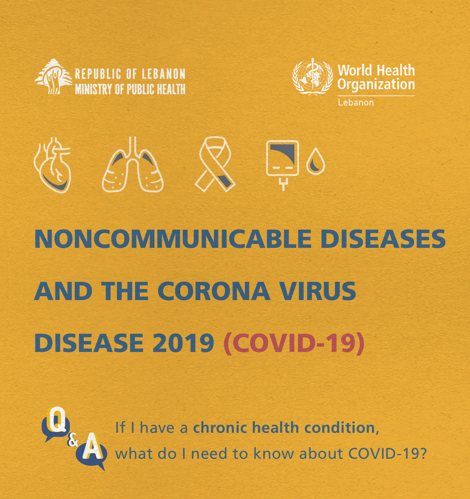





# NONCOMMUNICABLE DISEASES AND THE CORONA VIRUS DISEASE 2019 (COVID-19)



If I have a **chronic health condition**, what do I need to know about COVID-19?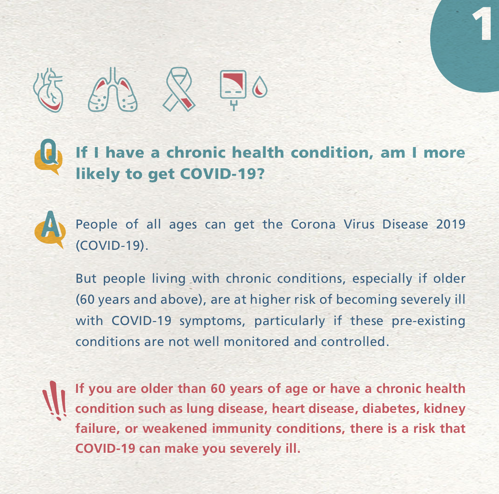

#### If I have a chronic health condition, am I more likely to get COVID-19?

People of all ages can get the Corona Virus Disease 2019 (COVID-19).

But people living with chronic conditions, especially if older (60 years and above), are at higher risk of becoming severely ill with COVID-19 symptoms, particularly if these pre-existing conditions are not well monitored and controlled.

**If you are older than 60 years of age or have a chronic health condition such as lung disease, heart disease, diabetes, kidney failure, or weakened immunity conditions, there is a risk that COVID-19 can make you severely ill.**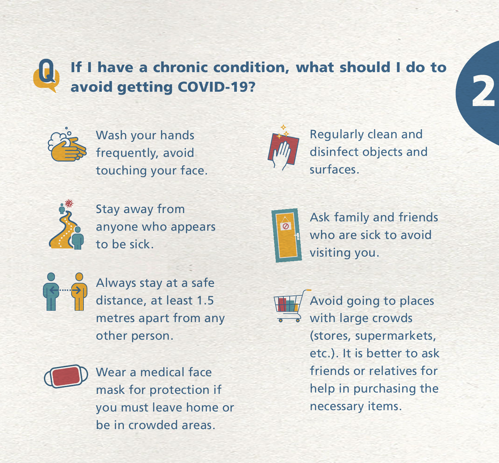#### If I have a chronic condition, what should I do to avoid getting COVID-19?



Wash your hands frequently, avoid touching your face.



Regularly clean and disinfect objects and surfaces.



Stay away from anyone who appears to be sick.



Always stay at a safe distance, at least 1.5 metres apart from any other person.



Wear a medical face mask for protection if you must leave home or be in crowded areas.



Ask family and friends who are sick to avoid visiting you.



Avoid going to places with large crowds (stores, supermarkets, etc.). It is better to ask friends or relatives for help in purchasing the necessary items.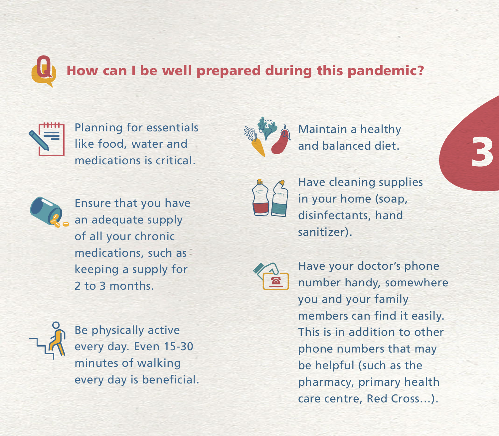### How can I be well prepared during this pandemic?



Planning for essentials like food, water and medications is critical.



Ensure that you have an adequate supply of all your chronic medications, such as keeping a supply for 2 to 3 months.



Maintain a healthy and balanced diet.



Have cleaning supplies in your home (soap, disinfectants, hand sanitizer).





Be physically active every day. Even 15-30 minutes of walking every day is beneficial.

Have your doctor's phone number handy, somewhere you and your family members can find it easily. This is in addition to other phone numbers that may be helpful (such as the pharmacy, primary health care centre, Red Cross...).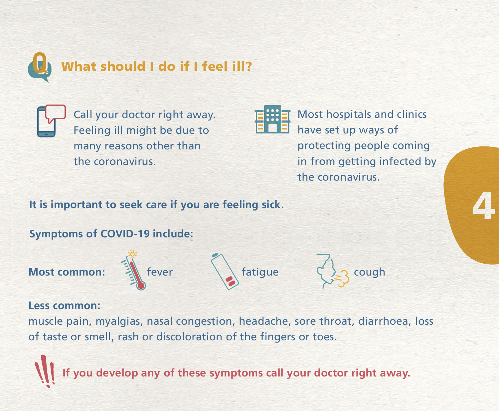

Call your doctor right away. Feeling ill might be due to many reasons other than the coronavirus.



Most hospitals and clinics have set up ways of protecting people coming in from getting infected by the coronavirus.

**It is important to seek care if you are feeling sick.**

**Symptoms of COVID-19 include:** 



Most common: **A** fever **fatigue** cough

**Less common:** 

muscle pain, myalgias, nasal congestion, headache, sore throat, diarrhoea, loss of taste or smell, rash or discoloration of the fingers or toes.

**If you develop any of these symptoms call your doctor right away.**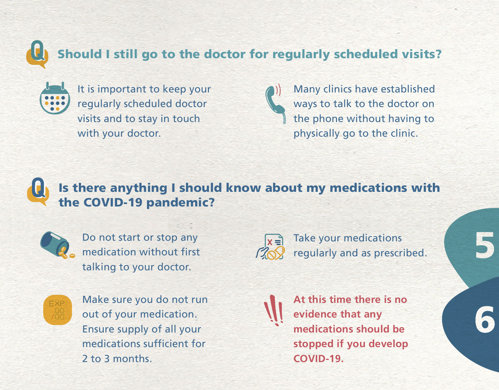#### Should I still go to the doctor for regularly scheduled visits?



It is important to keep your regularly scheduled doctor visits and to stay in touch with your doctor.



Many clinics have established ways to talk to the doctor on the phone without having to physically go to the clinic.

#### Is there anything I should know about my medications with the COVID-19 pandemic?



Do not start or stop any medication without first talking to your doctor.



Take your medications regularly and as prescribed.



Make sure you do not run out of your medication. Ensure supply of all your medications sufficient for 2 to 3 months.



**At this time there is no evidence that any medications should be stopped if you develop COVID-19.**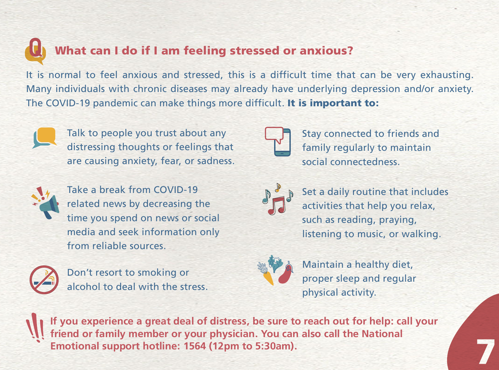## What can I do if I am feeling stressed or anxious?

It is normal to feel anxious and stressed, this is a difficult time that can be very exhausting. Many individuals with chronic diseases may already have underlying depression and/or anxiety. The COVID-19 pandemic can make things more difficult. It is important to:



Talk to people you trust about any distressing thoughts or feelings that are causing anxiety, fear, or sadness.



Take a break from COVID-19 related news by decreasing the time you spend on news or social media and seek information only from reliable sources.



Don't resort to smoking or alcohol to deal with the stress.



Stay connected to friends and family regularly to maintain social connectedness.



Set a daily routine that includes activities that help you relax, such as reading, praying, listening to music, or walking.



Maintain a healthy diet, proper sleep and regular physical activity.

**If you experience a great deal of distress, be sure to reach out for help: call your friend or family member or your physician. You can also call the National Emotional support hotline: 1564 (12pm to 5:30am).**